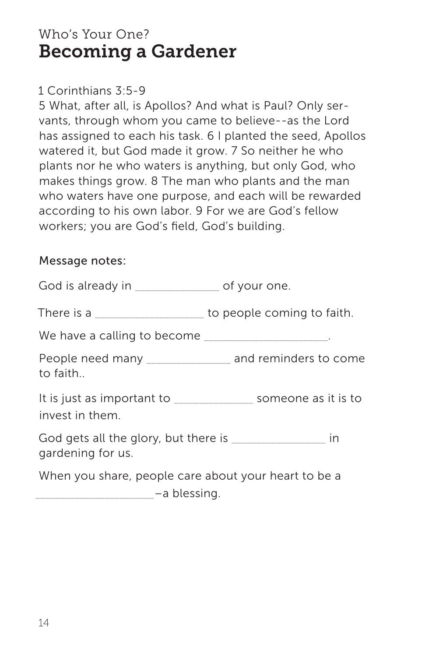# Who's Your One? Becoming a Gardener

## 1 Corinthians 3:5-9

5 What, after all, is Apollos? And what is Paul? Only servants, through whom you came to believe--as the Lord has assigned to each his task. 6 I planted the seed, Apollos watered it, but God made it grow. 7 So neither he who plants nor he who waters is anything, but only God, who makes things grow. 8 The man who plants and the man who waters have one purpose, and each will be rewarded according to his own labor. 9 For we are God's fellow workers; you are God's field, God's building.

## Message notes:

God is already in \_\_\_\_\_\_\_\_\_\_\_\_\_\_\_\_\_\_ of your one. There is a \_\_\_\_\_\_\_\_\_\_\_\_\_\_\_\_\_\_\_\_\_\_ to people coming to faith. We have a calling to become \_\_\_\_\_\_\_\_\_\_\_\_\_\_\_\_\_\_\_\_\_\_\_\_\_. People need many \_\_\_\_\_\_\_\_\_\_\_\_\_\_\_\_\_ and reminders to come to faith.. It is just as important to \_\_\_\_\_\_\_\_\_\_\_\_\_\_\_\_ someone as it is to invest in them. God gets all the glory, but there is  $\blacksquare$ gardening for us. When you share, people care about your heart to be a  $-$ a blessing.